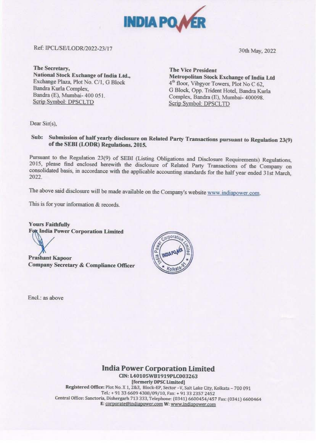

# Ref: iPCUSE/LODR/2022-23/17

30th May, 2022

**The Secretary, National Stock Exchange of India Ltd.,**  Exchange Plaza, Plot No. C/1, G Block Bandra Kurla Complex, Bandra (E), Mumbai- 400 *05* l. Scrip Symbol: DPSCLTD

**The Vice President Metropolitan Stock Exchange of India Ltd**  4<sup>th</sup> floor, Vibgyor Towers, Plot No C 62, G Block, Opp. Trident Hotel, Bandra Kurla Complex. Bandra (E), Mumbai- 400098. Serip Symbol: DPSCLTD

Dear Sir(s),

# Sub: Submission of half yearly disclosure on Related Party Transactions pursuant to Regulation 23(9) **of the SEBI (LODR) Regulations. 2015.**

Pursuant to the Regulation 23(9) of SEBI (Listing Obligations and Disclosure Requirements) Regulations, 2015, please find enclosed herewith the disclosure of Related Party Transactions of the Company on consolidated basis, in accordance with the applicable accounting standards for the half year ended 31st March, 2022.

The above said disclosure will be made available on the Company's website www.indiapower.com.

This is for your information & records.

**Yours Faithfully<br>Fox India Power Corporation Limited** 

Prasbant Kapoor Company Secretary & Compliance Officer

Encl.: as above



# **India Power Corporation Limited**

CIN:L4010SWB1919PLC003263 [formerly DPSC Limited) Registered Office: Plot No. X 1, 2&3, Block-EP, Sector -V, Salt Lake City, Kolkata - 700 091 Tel.:+ 91 33 6609 4308/09/10, Fax:+ 91 33 2357 2452 Central Office: Sanctoria, Dishergarh 713 333, Telephone: (0341) 6600454/457 Fax: (0341) 6600464 £: coroorate@indiapower.com **w,** www.ind!aoower com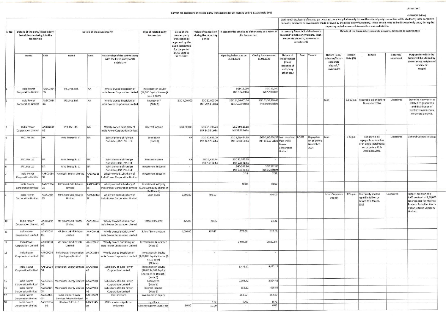### Annexure 1

Format for disclosure of related party transactions for six months ending 31st March, 2022

## (SGD/ INR lakhs)

| Nature of<br>ndebtedness<br>$($ loan $/$<br>issuance of<br>debt/ any<br>other etc.) | Cost  | Tenure                                        | Nature (loan/<br>advance/inter-<br>corporate<br>deposit/<br>investment | Interest<br>Rate (%) | Tenure                                                                                                        | Secured/<br>unsecured | Purpose for which the<br>funds will be utilised by<br>the ultimate recipient of<br>funds (end-<br>usage)                                       |
|-------------------------------------------------------------------------------------|-------|-----------------------------------------------|------------------------------------------------------------------------|----------------------|---------------------------------------------------------------------------------------------------------------|-----------------------|------------------------------------------------------------------------------------------------------------------------------------------------|
|                                                                                     |       |                                               |                                                                        |                      | $\geq$                                                                                                        |                       |                                                                                                                                                |
|                                                                                     |       |                                               | Loan                                                                   | 8.5 % p.a.           | Repayable on or before<br>November 2024                                                                       | Unsecured             | Exploring new ventures<br>related to generation<br>$\overline{\Omega}$<br>and distribution of<br>electricity and general<br>corporate purpose. |
| an received<br>om India<br>ower<br>orporation<br>mited                              | 8.50% | Repayable<br>on or before<br>November<br>2024 | Loan                                                                   | 5 % p.a.             | Facility will be<br>repayable in tranches<br>or in single instalments<br>on or before 11th<br>December, 2022. | Unsecured             | General Corporate Usage                                                                                                                        |
|                                                                                     |       |                                               |                                                                        |                      |                                                                                                               |                       |                                                                                                                                                |
|                                                                                     |       |                                               |                                                                        |                      |                                                                                                               |                       |                                                                                                                                                |
|                                                                                     |       |                                               | Inter-Corporate<br>Deposit                                             | 13% p.a.             | The Facility shall be<br>repaid in full on or<br>before 31st March,<br>2023                                   | Unsecured             | Supply, erection and<br>AMC contract of 3,50,000<br>Smart meter for Madhya<br>Pradesh Pashchim Ksetra<br>Vidyut Vitaran Company<br>Limited.    |
|                                                                                     |       |                                               |                                                                        |                      |                                                                                                               |                       |                                                                                                                                                |
|                                                                                     |       |                                               |                                                                        |                      |                                                                                                               |                       |                                                                                                                                                |
|                                                                                     |       |                                               |                                                                        |                      |                                                                                                               |                       |                                                                                                                                                |
|                                                                                     |       |                                               |                                                                        |                      |                                                                                                               |                       |                                                                                                                                                |
|                                                                                     |       |                                               |                                                                        |                      |                                                                                                               |                       |                                                                                                                                                |
|                                                                                     |       |                                               |                                                                        |                      |                                                                                                               |                       |                                                                                                                                                |
|                                                                                     |       |                                               |                                                                        |                      |                                                                                                               |                       |                                                                                                                                                |
|                                                                                     |       |                                               |                                                                        |                      |                                                                                                               |                       |                                                                                                                                                |
|                                                                                     |       |                                               |                                                                        |                      |                                                                                                               |                       |                                                                                                                                                |
|                                                                                     |       |                                               |                                                                        |                      |                                                                                                               |                       |                                                                                                                                                |

|       |                                                                                      |                        |                                                           |                             |                                                                                           |                                                                                  | Additional disclosure of related party transactions - applicable only in case the related party transaction relates to loans, inter-corporate<br>deposits, advances or investments made or given by the listed entity/subsidiary. These details need to be disclosed only once, during the<br>reporting period when such transaction was undertaken. |                                  |                                                                                                 |                                                                    |                                                                                |             |                                                                                                                    |                                                                         |                      |                                                                                                               |                       |                                                                                                                                             |
|-------|--------------------------------------------------------------------------------------|------------------------|-----------------------------------------------------------|-----------------------------|-------------------------------------------------------------------------------------------|----------------------------------------------------------------------------------|------------------------------------------------------------------------------------------------------------------------------------------------------------------------------------------------------------------------------------------------------------------------------------------------------------------------------------------------------|----------------------------------|-------------------------------------------------------------------------------------------------|--------------------------------------------------------------------|--------------------------------------------------------------------------------|-------------|--------------------------------------------------------------------------------------------------------------------|-------------------------------------------------------------------------|----------------------|---------------------------------------------------------------------------------------------------------------|-----------------------|---------------------------------------------------------------------------------------------------------------------------------------------|
| S. No | Details of the party (listed entity<br>/subsidiary) entering into the<br>transaction |                        |                                                           | Details of the counterparty |                                                                                           | Type of related party<br>transaction                                             | Value of the<br>related party<br>transaction as<br>approved by the<br>audit committee<br>for the period                                                                                                                                                                                                                                              | during the reporting<br>period   | Value of transaction   In case monies are due to either party as a result of<br>the transaction |                                                                    |                                                                                | investments | In case any financial indebtedness is<br>incurred to make or give loans, inter-<br>corporate deposits, advances or | Details of the loans, inter-corporate deposits, advances or investments |                      |                                                                                                               |                       |                                                                                                                                             |
|       | Name                                                                                 | PAN                    | Name                                                      | PAN                         | Relationship of the counterparty<br>with the listed entity or its<br>subsidiary           |                                                                                  | 01.10-2021 to<br>31.03.2022                                                                                                                                                                                                                                                                                                                          |                                  | Opening balance as on<br>01.10.2021                                                             | Closing balance as on<br>31.03.2022                                | Nature of<br>indebtedness<br>(loan/<br>issuance of<br>debt/ any<br>other etc.) | Cost        | Tenure                                                                                                             | Nature (loan/<br>advance/ inter-<br>corporate<br>deposit/<br>investment | Interest<br>Rate (%) | Tenure                                                                                                        | Secured/<br>unsecured | Purpose for which the<br>funds will be utilised by<br>the ultimate recipient of<br>funds (end-<br>usage)                                    |
|       | India Power<br>Corporation Limited                                                   | AABCD034<br><b>IOG</b> | IPCL Pte. Ltd.                                            | <b>NA</b>                   | Wholly owned Subsidiary of<br>India Power Corporation Limited                             | Investment in Equity<br>(12,000 Equity Shares @<br>SGD 1 each)                   |                                                                                                                                                                                                                                                                                                                                                      |                                  | SGD 12,000<br>INR 5.94 lakhs                                                                    | SGD 12,000<br>INR 5.94 lakhs                                       |                                                                                |             |                                                                                                                    |                                                                         |                      |                                                                                                               |                       |                                                                                                                                             |
|       | <b>India Power</b><br><b>Corporation Limited</b>                                     | AABCD034<br>OG         | <b>IPCL Pte. Ltd.</b>                                     | <b>NA</b>                   | Wholly owned Subsidiary of<br>India Power Corporation Limited                             | Loan given *<br>(Note 1)                                                         | SGD 4,00,000                                                                                                                                                                                                                                                                                                                                         | SGD 52,000.00<br>INR 29.54 Lakhs | SGD 14,06,607.24<br>INR 766.89 lakhs                                                            | SGD 15,59,980.45<br>INR 870.01 lakhs                               |                                                                                |             |                                                                                                                    | Loan                                                                    |                      | 8.5 % p.a. Repayable on or before<br>November 2024                                                            | Unsecured             | <b>Exploring new ventures</b><br>related to generation<br>and distribution of<br>electricity and general<br>corporate purpose.              |
|       | India Power<br>Corporation Limited                                                   | AABCD034               | IPCL Pte. Ltd.                                            | NA                          | Wholly owned Subsidiary of<br>India Power Corporation Limited                             | Interest Income                                                                  | SGD 80,000                                                                                                                                                                                                                                                                                                                                           | SGD 59,736.73<br>INR 34.06 Lakhs | SGD 59,525.88<br>INR 32.46 lakhs                                                                |                                                                    |                                                                                |             |                                                                                                                    |                                                                         |                      |                                                                                                               |                       |                                                                                                                                             |
|       | <b>IPCL Pte Ltd</b>                                                                  | <b>NA</b>              | Arka Energy B.V.                                          | N <sub>A</sub>              | Joint Venture of Foreign<br>Subsidiary IPCL Pte. Ltd.                                     | Loan given<br>(Note 2)                                                           | NA                                                                                                                                                                                                                                                                                                                                                   | SGD 22,635.00<br>INR 12.62 Lakhs | SGD 1,69,454.69<br>INR 92.39 Lakhs                                                              | SGD 2,00,056.57 Loan received 8.50%<br>INR 111.57 Lakhs from India | ower<br>Corporation<br>Limited                                                 |             | Repayable<br>on or before<br>November<br>2024                                                                      | Loan                                                                    | 5 % p.a.             | Facility will be<br>repayable in tranches<br>or in single instalments<br>on or before 11th<br>December, 2022. | Unsecured             | General Corporate Usage                                                                                                                     |
|       | <b>IPCL Pte Ltd</b>                                                                  | <b>NA</b>              | Arka Energy B.V.                                          | NA                          | Joint Venture of Foreign                                                                  | Interest Income                                                                  | NA                                                                                                                                                                                                                                                                                                                                                   | SGD 3,439.44                     | SGD 12,569.79                                                                                   |                                                                    |                                                                                |             |                                                                                                                    |                                                                         |                      |                                                                                                               |                       |                                                                                                                                             |
|       | <b>IPCL Pte Ltd</b>                                                                  | NA.                    | Arka Energy B.V.                                          | NA                          | Subsidiary IPCL Pte. Ltd.<br>Joint Venture of Foreign                                     | Investment in Equity                                                             |                                                                                                                                                                                                                                                                                                                                                      | INR 2.08 lakhs                   | INR 6.85 lakhs<br>SGD 542.86                                                                    | SGD 542.86                                                         |                                                                                |             |                                                                                                                    |                                                                         |                      |                                                                                                               |                       |                                                                                                                                             |
|       | India Power                                                                          | AABCD034               | Parmeshi Energy Limited                                   | AAJCP9386                   | Subsidiary IPCL Pte. Ltd.<br>Wholly owned Subsidiary of                                   | Investment in Equity                                                             |                                                                                                                                                                                                                                                                                                                                                      |                                  | INR 0.28 lakhs<br>2.38                                                                          | INR 0.28 lakhs<br>2.38                                             |                                                                                |             |                                                                                                                    |                                                                         |                      |                                                                                                               |                       |                                                                                                                                             |
|       | <b>Corporation Limited</b>                                                           | OG                     |                                                           |                             | India Power Corporation Limited                                                           |                                                                                  |                                                                                                                                                                                                                                                                                                                                                      |                                  |                                                                                                 |                                                                    |                                                                                |             |                                                                                                                    |                                                                         |                      |                                                                                                               |                       |                                                                                                                                             |
|       | India Power<br>Corporation Limited 0G                                                | AABCD034               | MP Smart Grid Private<br>Limited                          | AANCM453<br>3E              | Wholly owned Subsidiary of<br>India Power Corporation Limited   (1,00,000 Equity Shares @ | Investment in Equity<br>Rs 10 each)                                              |                                                                                                                                                                                                                                                                                                                                                      |                                  | 10.00                                                                                           | 10.00                                                              |                                                                                |             |                                                                                                                    |                                                                         |                      |                                                                                                               |                       |                                                                                                                                             |
|       | India Power<br>Corporation Limited                                                   | AABCD034<br><b>OG</b>  | MP Smart Grid Private<br>Limited                          | AANCM453<br>3E              | Wholly owned Subsidiary of<br>India Power Corporation Limited                             | Loan given                                                                       | 2,500.00                                                                                                                                                                                                                                                                                                                                             | 400.00                           |                                                                                                 | 400.00                                                             |                                                                                |             |                                                                                                                    | Inter-Corporate<br>Deposit                                              | 13% p.a.             | The Facility shall be<br>repaid in full on or<br>before 31st March,<br>2023                                   | Unsecured             | Supply, erection and<br>AMC contract of 3,50,000<br>Smart meter for Madhya<br>Pradesh Pashchim Ksetra<br>Vidyut Vitaran Company<br>Limited. |
| 10    | India Power<br><b>Corporation Limited</b>                                            | AABCD034<br><b>OG</b>  | MP Smart Grid Private<br>Limited                          | AANCM453<br>3E              | Wholly owned Subsidiary of<br>India Power Corporation Limited                             | Interest Income                                                                  | 325.00                                                                                                                                                                                                                                                                                                                                               | 20.36                            |                                                                                                 | 18.32                                                              |                                                                                |             |                                                                                                                    |                                                                         |                      |                                                                                                               |                       |                                                                                                                                             |
| 11    | India Power<br>Corporation Limited                                                   | AABCD034<br><b>OG</b>  | MP Smart Grid Private<br>Limited                          | AANCM453<br>3E              | Wholly owned Subsidiary of<br>India Power Corporation Limited                             | Sale of Smart Meters                                                             | 4,000.00                                                                                                                                                                                                                                                                                                                                             | 307.67                           | 270.36                                                                                          | 377.66                                                             |                                                                                |             |                                                                                                                    |                                                                         |                      |                                                                                                               |                       |                                                                                                                                             |
| 12    | India Power<br>Corporation Limited                                                   | AABCD034<br>OG         | MP Smart Grid Private<br>Limited                          | AANCM453<br>3E              | Wholly owned Subsidiary of<br>India Power Corporation Limited                             | Performance Guarantee<br>(Note 3)                                                |                                                                                                                                                                                                                                                                                                                                                      |                                  | 2,597.69                                                                                        | 2,597.69                                                           |                                                                                |             |                                                                                                                    |                                                                         |                      |                                                                                                               |                       |                                                                                                                                             |
| 13    | India Power<br><b>Corporation Limited</b>                                            | AABCD034<br>OG         | India Power Corporation   AADCI3384<br>(Bodhgaya) Limited |                             | Wholly owned Subsidiary of<br>India Power Corporation Limited   (1,00,000 Equity Shares @ | Investment in Equity<br>Rs 10 each)<br>(Note 4)                                  |                                                                                                                                                                                                                                                                                                                                                      |                                  |                                                                                                 |                                                                    |                                                                                |             |                                                                                                                    |                                                                         |                      |                                                                                                               |                       |                                                                                                                                             |
| 14    | India Power<br><b>Corporation Limited</b>                                            | OG                     | AABCD034   Meenakshi Energy Limited   AAACV881            | 4G                          | Subsidiary of India Power<br><b>Corporation Limited</b>                                   | Investment in Equity<br>(10,02,34,109 Equity<br>Shares @ Rs 10 each)<br>(Note 5) |                                                                                                                                                                                                                                                                                                                                                      |                                  | 9,472.12                                                                                        | 9,472.12                                                           |                                                                                |             |                                                                                                                    |                                                                         |                      |                                                                                                               |                       |                                                                                                                                             |
| 15    | India Power<br><b>Corporation Limited</b>                                            | 0G                     | AABCD034   Meenakshi Energy Limited   AAACV881            |                             | Subsidiary of India Power<br><b>Corporation Limited</b>                                   | Loan given<br>(Note 5)                                                           |                                                                                                                                                                                                                                                                                                                                                      |                                  | 3,094.42                                                                                        | 3,094.42                                                           |                                                                                |             |                                                                                                                    |                                                                         |                      |                                                                                                               |                       |                                                                                                                                             |
| 16    | India Power                                                                          |                        | AABCD034   Meenakshi Energy Limited   AAACV881            |                             | Subsidiary of India Power                                                                 | Interest Income                                                                  |                                                                                                                                                                                                                                                                                                                                                      |                                  | 658.82                                                                                          | 658.82                                                             |                                                                                |             |                                                                                                                    |                                                                         |                      |                                                                                                               |                       |                                                                                                                                             |
| 17    | <b>Corporation Limited</b><br>India Power                                            | 0G<br>AABCD034         | India Uniper Power                                        | 4G<br>AAECI2224             | <b>Corporation Limited</b><br>Joint Venture                                               | (Note 5)<br>Investment in Equity                                                 | $\sim$                                                                                                                                                                                                                                                                                                                                               | 246                              | 352.50                                                                                          | 352.50                                                             |                                                                                |             |                                                                                                                    |                                                                         |                      |                                                                                                               |                       |                                                                                                                                             |
| 18    | Corporation Limited<br>India Power                                                   | 0G <br>AABCD034        | Services Private Limited<br>Khaitan & Co. LLP             | AAGFK545                    | KMP exercises significant                                                                 | Legal fees                                                                       |                                                                                                                                                                                                                                                                                                                                                      | 2.22                             | 0.46                                                                                            | 0.79                                                               |                                                                                |             |                                                                                                                    |                                                                         |                      |                                                                                                               |                       |                                                                                                                                             |
|       | Corporation Limited                                                                  | OG                     |                                                           |                             | Influence                                                                                 | Advance against Legal Fees                                                       | 60.00                                                                                                                                                                                                                                                                                                                                                | 10.00                            |                                                                                                 | 6.00                                                               |                                                                                |             |                                                                                                                    |                                                                         |                      |                                                                                                               |                       |                                                                                                                                             |